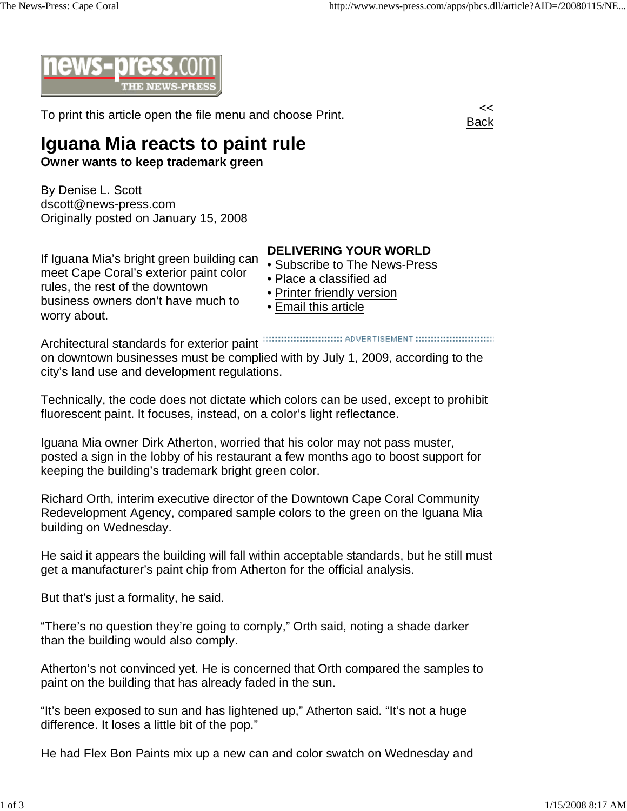

To print this article open the file menu and choose Print.



## **Iguana Mia reacts to paint rule**

**Owner wants to keep trademark green**

By Denise L. Scott dscott@news-press.com Originally posted on January 15, 2008

## If Iguana Mia's bright green building can meet Cape Coral's exterior paint color rules, the rest of the downtown business owners don't have much to worry about.

## **DELIVERING YOUR WORLD**

- Subscribe to The News-Press
- Place a classified ad
- Printer friendly version
- Email this article

Architectural standards for exterior paint on downtown businesses must be complied with by July 1, 2009, according to the city's land use and development regulations.

Technically, the code does not dictate which colors can be used, except to prohibit fluorescent paint. It focuses, instead, on a color's light reflectance.

Iguana Mia owner Dirk Atherton, worried that his color may not pass muster, posted a sign in the lobby of his restaurant a few months ago to boost support for keeping the building's trademark bright green color.

Richard Orth, interim executive director of the Downtown Cape Coral Community Redevelopment Agency, compared sample colors to the green on the Iguana Mia building on Wednesday.

He said it appears the building will fall within acceptable standards, but he still must get a manufacturer's paint chip from Atherton for the official analysis.

But that's just a formality, he said.

"There's no question they're going to comply," Orth said, noting a shade darker than the building would also comply.

Atherton's not convinced yet. He is concerned that Orth compared the samples to paint on the building that has already faded in the sun.

"It's been exposed to sun and has lightened up," Atherton said. "It's not a huge difference. It loses a little bit of the pop."

He had Flex Bon Paints mix up a new can and color swatch on Wednesday and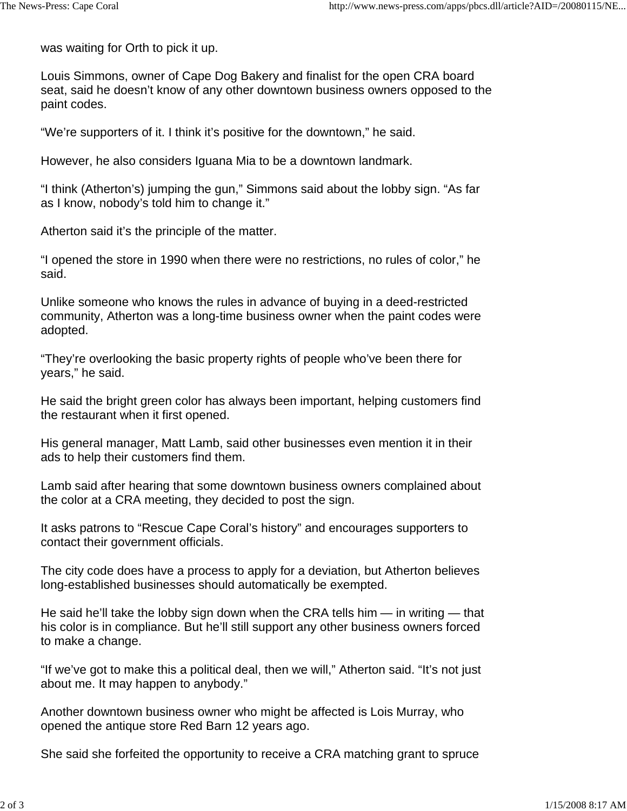was waiting for Orth to pick it up.

Louis Simmons, owner of Cape Dog Bakery and finalist for the open CRA board seat, said he doesn't know of any other downtown business owners opposed to the paint codes.

"We're supporters of it. I think it's positive for the downtown," he said.

However, he also considers Iguana Mia to be a downtown landmark.

"I think (Atherton's) jumping the gun," Simmons said about the lobby sign. "As far as I know, nobody's told him to change it."

Atherton said it's the principle of the matter.

"I opened the store in 1990 when there were no restrictions, no rules of color," he said.

Unlike someone who knows the rules in advance of buying in a deed-restricted community, Atherton was a long-time business owner when the paint codes were adopted.

"They're overlooking the basic property rights of people who've been there for years," he said.

He said the bright green color has always been important, helping customers find the restaurant when it first opened.

His general manager, Matt Lamb, said other businesses even mention it in their ads to help their customers find them.

Lamb said after hearing that some downtown business owners complained about the color at a CRA meeting, they decided to post the sign.

It asks patrons to "Rescue Cape Coral's history" and encourages supporters to contact their government officials.

The city code does have a process to apply for a deviation, but Atherton believes long-established businesses should automatically be exempted.

He said he'll take the lobby sign down when the CRA tells him — in writing — that his color is in compliance. But he'll still support any other business owners forced to make a change.

"If we've got to make this a political deal, then we will," Atherton said. "It's not just about me. It may happen to anybody."

Another downtown business owner who might be affected is Lois Murray, who opened the antique store Red Barn 12 years ago.

She said she forfeited the opportunity to receive a CRA matching grant to spruce